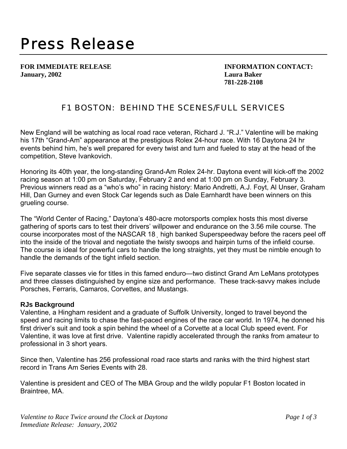## *Press Release*

**January, 2002 Laura Baker** 

**FOR IMMEDIATE RELEASE INFORMATION CONTACT: 781-228-2108**

## F1 BOSTON: BEHIND THE SCENES/FULL SERVICES

New England will be watching as local road race veteran, Richard J. "R.J." Valentine will be making his 17th "Grand-Am" appearance at the prestigious Rolex 24-hour race. With 16 Daytona 24 hr events behind him, he's well prepared for every twist and turn and fueled to stay at the head of the competition, Steve Ivankovich.

Honoring its 40th year, the long-standing Grand-Am Rolex 24-hr. Daytona event will kick-off the 2002 racing season at 1:00 pm on Saturday, February 2 and end at 1:00 pm on Sunday, February 3. Previous winners read as a "who's who" in racing history: Mario Andretti, A.J. Foyt, Al Unser, Graham Hill, Dan Gurney and even Stock Car legends such as Dale Earnhardt have been winners on this grueling course.

The "World Center of Racing," Daytona's 480-acre motorsports complex hosts this most diverse gathering of sports cars to test their drivers' willpower and endurance on the 3.56 mile course. The course incorporates most of the NASCAR 18 high banked Superspeedway before the racers peel off into the inside of the trioval and negotiate the twisty swoops and hairpin turns of the infield course. The course is ideal for powerful cars to handle the long straights, yet they must be nimble enough to handle the demands of the tight infield section.

Five separate classes vie for titles in this famed enduro—two distinct Grand Am LeMans prototypes and three classes distinguished by engine size and performance. These track-savvy makes include Porsches, Ferraris, Camaros, Corvettes, and Mustangs.

## **RJs Background**

Valentine, a Hingham resident and a graduate of Suffolk University, longed to travel beyond the speed and racing limits to chase the fast-paced engines of the race car world. In 1974, he donned his first driver's suit and took a spin behind the wheel of a Corvette at a local Club speed event. For Valentine, it was love at first drive. Valentine rapidly accelerated through the ranks from amateur to professional in 3 short years.

Since then, Valentine has 256 professional road race starts and ranks with the third highest start record in Trans Am Series Events with 28.

Valentine is president and CEO of The MBA Group and the wildly popular F1 Boston located in Braintree, MA.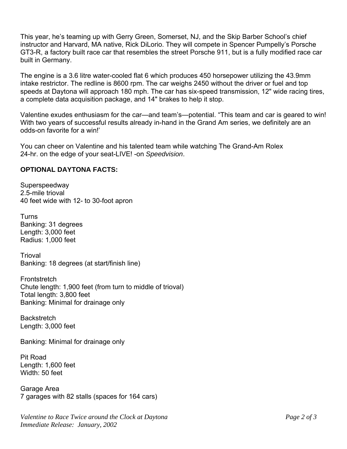This year, he's teaming up with Gerry Green, Somerset, NJ, and the Skip Barber School's chief instructor and Harvard, MA native, Rick DiLorio. They will compete in Spencer Pumpelly's Porsche GT3-R, a factory built race car that resembles the street Porsche 911, but is a fully modified race car built in Germany.

The engine is a 3.6 litre water-cooled flat 6 which produces 450 horsepower utilizing the 43.9mm intake restrictor. The redline is 8600 rpm. The car weighs 2450 without the driver or fuel and top speeds at Daytona will approach 180 mph. The car has six-speed transmission, 12" wide racing tires, a complete data acquisition package, and 14" brakes to help it stop.

Valentine exudes enthusiasm for the car—and team's—potential. "This team and car is geared to win! With two years of successful results already in-hand in the Grand Am series, we definitely are an odds-on favorite for a win!'

You can cheer on Valentine and his talented team while watching The Grand-Am Rolex 24-hr. on the edge of your seat-LIVE! -on *Speedvision*.

## **OPTIONAL DAYTONA FACTS:**

Superspeedway 2.5-mile trioval 40 feet wide with 12- to 30-foot apron

Turns Banking: 31 degrees Length: 3,000 feet Radius: 1,000 feet

**Trioval** Banking: 18 degrees (at start/finish line)

**Frontstretch** Chute length: 1,900 feet (from turn to middle of trioval) Total length: 3,800 feet Banking: Minimal for drainage only

**Backstretch** Length: 3,000 feet

Banking: Minimal for drainage only

Pit Road Length: 1,600 feet Width: 50 feet

Garage Area 7 garages with 82 stalls (spaces for 164 cars)